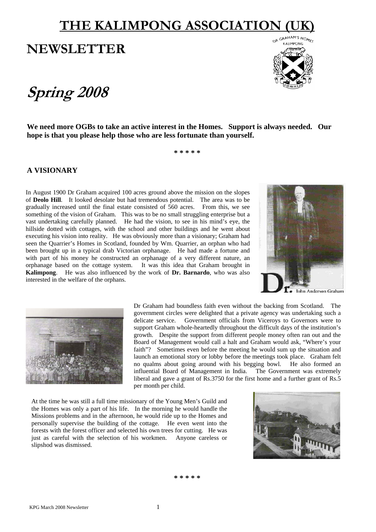# **THE KALIMPONG ASSOCIATION**

## **NEWSLETTER**

# **Spring 2008**



**We need more OGBs to take an active interest in the Homes. Support is always needed. Our hope is that you please help those who are less fortunate than yourself.** 

**\* \* \* \* \*** 

## **A VISIONARY**

In August 1900 Dr Graham acquired 100 acres ground above the mission on the slopes of **Deolo Hill**. It looked desolate but had tremendous potential. The area was to be gradually increased until the final estate consisted of 560 acres. From this, we see something of the vision of Graham. This was to be no small struggling enterprise but a vast undertaking carefully planned. He had the vision, to see in his mind's eye, the hillside dotted with cottages, with the school and other buildings and he went about executing his vision into reality. He was obviously more than a visionary; Graham had seen the Quarrier's Homes in Scotland, founded by Wm. Quarrier, an orphan who had been brought up in a typical drab Victorian orphanage. He had made a fortune and with part of his money he constructed an orphanage of a very different nature, an orphanage based on the cottage system. It was this idea that Graham brought in **Kalimpong**. He was also influenced by the work of **Dr. Barnardo**, who was also interested in the welfare of the orphans.





Dr Graham had boundless faith even without the backing from Scotland. The government circles were delighted that a private agency was undertaking such a delicate service. Government officials from Viceroys to Governors were to support Graham whole-heartedly throughout the difficult days of the institution's growth. Despite the support from different people money often ran out and the Board of Management would call a halt and Graham would ask, "Where's your faith"? Sometimes even before the meeting he would sum up the situation and launch an emotional story or lobby before the meetings took place. Graham felt no qualms about going around with his begging bowl. He also formed an influential Board of Management in India. The Government was extremely liberal and gave a grant of Rs.3750 for the first home and a further grant of Rs.5 per month per child.

At the time he was still a full time missionary of the Young Men's Guild and the Homes was only a part of his life. In the morning he would handle the Missions problems and in the afternoon, he would ride up to the Homes and personally supervise the building of the cottage. He even went into the forests with the forest officer and selected his own trees for cutting. He was just as careful with the selection of his workmen. Anyone careless or slipshod was dismissed.

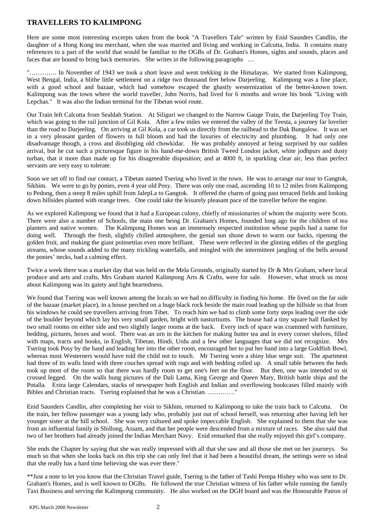## **TRAVELLERS TO KALIMPONG**

Here are some most interesting excerpts taken from the book "A Travellers Tale" written by Enid Saunders Candlin, the daughter of a Hong Kong tea merchant, when she was married and living and working in Calcutta, India. It contains many references to a part of the world that would be familiar to the OGBs of Dr. Graham's Homes, sights and sounds, places and faces that are bound to bring back memories. She writes in the following paragraphs …

"…………. In November of 1943 we took a short leave and went trekking in the Himalayas. We started from Kalimpong, West Bengal, India, a blithe little settlement on a ridge two thousand feet below Darjeeling. Kalimpong was a fine place, with a good school and bazaar, which had somehow escaped the ghastly westernization of the better-known town. Kalimpong was the town where the world traveller, John Norris, had lived for 6 months and wrote his book "Living with Lepchas." It was also the Indian terminal for the Tibetan wool route.

Our Train left Calcutta from Sealdah Station. At Siliguri we changed to the Narrow Gauge Train, the Darjeeling Toy Train, which was going to the rail junction of Gil Kola. After a few miles we entered the valley of the Teesta, a journey far lovelier than the road to Darjeeling. On arriving at Gil Kola, a car took us directly from the railhead to the Dak Bungalow. It was set in a very pleasant garden of flowers in full bloom and had the luxuries of electricity and plumbing. It had only one disadvantage though, a cross and disobliging old chowkidar. He was probably annoyed at being surprised by our sudden arrival, but he cut such a picturesque figure in his hand-me-down British Tweed London jacket, white jodhpurs and dusty turban, that it more than made up for his disagreeable disposition; and at 4000 ft, in sparkling clear air, less than perfect servants are very easy to tolerate.

Soon we set off to find our contact, a Tibetan named Tsering who lived in the town. He was to arrange our tour to Gangtok, Sikhim. We were to go by ponies, even 4 year old Posy. There was only one road, ascending 10 to 12 miles from Kalimpong to Pedong, then a steep 8 miles uphill from JalepLa to Gangtok. It offered the charm of going past terraced fields and looking down hillsides planted with orange trees. One could take the leisurely pleasant pace of the traveller before the engine.

As we explored Kalimpong we found that it had a European colony, chiefly of missionaries of whom the majority were Scots. There were also a number of Schools, the main one being Dr. Graham's Homes, founded long ago for the children of tea planters and native women. The Kalimpong Homes was an immensely respected institution whose pupils had a name for doing well. Through the fresh, slightly chilled atmosphere, the genial sun shone down to warm our backs, ripening the golden fruit, and making the giant poinsettias even more brilliant. These were reflected in the glinting eddies of the gurgling streams, whose sounds added to the many trickling waterfalls, and mingled with the intermittent jangling of the bells around the ponies' necks, had a calming effect.

Twice a week there was a market day that was held on the Mela Grounds, originally started by Dr & Mrs Graham, where local produce and arts and crafts, Mrs Graham started Kalimpong Arts & Crafts, were for sale. However, what struck us most about Kalimpong was its gaiety and light heartedness.

We found that Tsering was well known among the locals so we had no difficulty in finding his home. He lived on the far side of the bazaar (market place), in a house perched on a huge black rock beside the main road leading up the hillside so that from his windows he could see travellers arriving from Tibet. To reach him we had to climb some forty steps leading over the side of the boulder beyond which lay his very small garden, bright with nasturtiums. The house had a tiny square hall flanked by two small rooms on either side and two slightly larger rooms at the back. Every inch of space was crammed with furniture, bedding, pictures, boxes and wool. There was an urn in the kitchen for making butter tea and in every corner shelves, filled with maps, tracts and books, in English, Tibetan, Hindi, Urdu and a few other languages that we did not recognize. Mrs Tsering took Posy by the hand and leading her into the other room, encouraged her to put her hand into a large Goldfish Bowl, whereas most Westerners would have told the child not to touch. Mr Tsering wore a shiny blue serge suit. The apartment had three of its walls lined with three couches spread with rugs and with bedding rolled up. A small table between the beds took up most of the room so that there was hardly room to get one's feet on the floor. But then, one was intended to sit crossed legged. On the walls hung pictures of the Dali Lama, King George and Queen Mary, British battle ships and the Potalla. Extra large Calendars, stacks of newspaper both English and Indian and overflowing bookcases filled mainly with Bibles and Christian tracts. Tsering explained that he was a Christian. …………."

Enid Saunders Candlin, after completing her visit to Sikhim, returned to Kalimpong to take the train back to Calcutta. On the train, her fellow passenger was a young lady who, probably just out of school herself, was returning after having left her younger sister at the hill school. She was very cultured and spoke impeccable English. She explained to them that she was from an influential family in Shillong, Assam, and that her people were descended from a mixture of races. She also said that two of her brothers had already joined the Indian Merchant Navy. Enid remarked that she really enjoyed this girl's company.

She ends the Chapter by saying that she was really impressed with all that she saw and all those she met on her journeys. So much so that when she looks back on this trip she can only feel that it had been a beautiful dream, the settings were so ideal that she really has a hard time believing she was ever there."

\*\*Just a note to let you know that the Christian Travel guide, Tsering is the father of Tashi Pempa Hishey who was sent to Dr. Graham's Homes, and is well known to OGBs. He followed the true Christian witness of his father while running the family Taxi Business and serving the Kalimpong community. He also worked on the DGH board and was the Honourable Patron of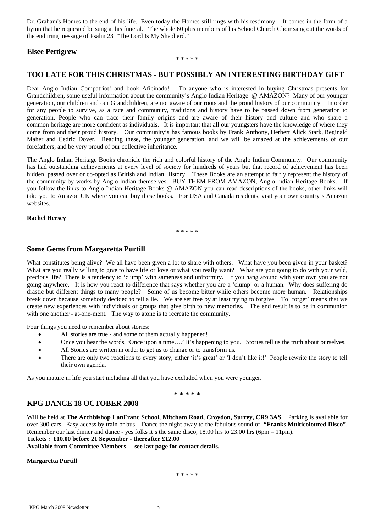Dr. Graham's Homes to the end of his life. Even today the Homes still rings with his testimony. It comes in the form of a hymn that he requested be sung at his funeral. The whole 60 plus members of his School Church Choir sang out the words of the enduring message of Psalm 23 "The Lord Is My Shepherd."

## **Elsee Pettigrew**

#### \* \* \* \* \*

## **TOO LATE FOR THIS CHRISTMAS - BUT POSSIBLY AN INTERESTING BIRTHDAY GIFT**

Dear Anglo Indian Compatriot! and book Aficinado! To anyone who is interested in buying Christmas presents for Grandchildren, some useful information about the community's Anglo Indian Heritage @ AMAZON? Many of our younger generation, our children and our Grandchildren, are not aware of our roots and the proud history of our community. In order for any people to survive, as a race and community, traditions and history have to be passed down from generation to generation. People who can trace their family origins and are aware of their history and culture and who share a common heritage are more confident as individuals. It is important that all our youngsters have the knowledge of where they come from and their proud history. Our community's has famous books by Frank Anthony, Herbert Alick Stark, Reginald Maher and Cedric Dover. Reading these, the younger generation, and we will be amazed at the achievements of our forefathers, and be very proud of our collective inheritance.

The Anglo Indian Heritage Books chronicle the rich and colorful history of the Anglo Indian Community. Our community has had outstanding achievements at every level of society for hundreds of years but that record of achievement has been hidden, passed over or co-opted as British and Indian History. These Books are an attempt to fairly represent the history of the community by works by Anglo Indian themselves. BUY THEM FROM AMAZON, Anglo Indian Heritage Books. If you follow the links to Anglo Indian Heritage Books @ AMAZON you can read descriptions of the books, other links will take you to Amazon UK where you can buy these books. For USA and Canada residents, visit your own country's Amazon websites.

#### **Rachel Hersey**

\* \* \* \* \*

## **Some Gems from Margaretta Purtill**

What constitutes being alive? We all have been given a lot to share with others. What have you been given in your basket? What are you really willing to give to have life or love or what you really want? What are you going to do with your wild, precious life? There is a tendency to 'clump' with sameness and uniformity. If you hang around with your own you are not going anywhere. It is how you react to difference that says whether you are a 'clump' or a human. Why does suffering do drastic but different things to many people? Some of us become bitter while others become more human. Relationships break down because somebody decided to tell a lie. We are set free by at least trying to forgive. To 'forget' means that we create new experiences with individuals or groups that give birth to new memories. The end result is to be in communion with one another - at-one-ment. The way to atone is to recreate the community.

Four things you need to remember about stories:

- All stories are true and some of them actually happened!
- Once you hear the words, 'Once upon a time....' It's happening to you. Stories tell us the truth about ourselves.
- All Stories are written in order to get us to change or to transform us.
- There are only two reactions to every story, either 'it's great' or 'I don't like it!' People rewrite the story to tell their own agenda.

As you mature in life you start including all that you have excluded when you were younger.

#### **\* \* \* \* \***

## **KPG DANCE 18 OCTOBER 2008**

Will be held at **The Archbishop LanFranc School, Mitcham Road, Croydon, Surrey, CR9 3AS**. Parking is available for over 300 cars. Easy access by train or bus. Dance the night away to the fabulous sound of **"Franks Multicoloured Disco"**. Remember our last dinner and dance - yes folks it's the same disco, 18.00 hrs to 23.00 hrs (6pm – 11pm).

**Tickets : £10.00 before 21 September - thereafter £12.00** 

**Available from Committee Members - see last page for contact details.** 

#### **Margaretta Purtill**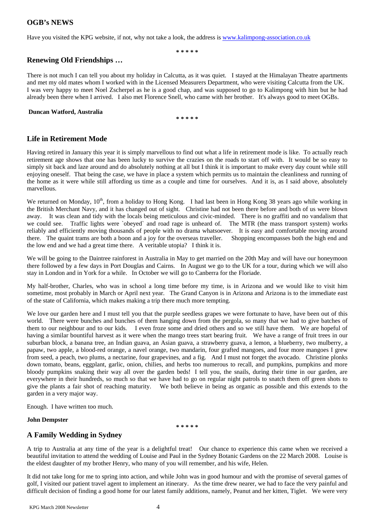## **OGB's NEWS**

Have you visited the KPG website, if not, why not take a look, the address is [www.kalimpong-association.co.uk](http://www.kalimpong-association.co.uk/)

**\* \* \* \* \*** 

## **Renewing Old Friendships …**

There is not much I can tell you about my holiday in Calcutta, as it was quiet. I stayed at the Himalayan Theatre apartments and met my old mates whom I worked with in the Licensed Measurers Department, who were visiting Calcutta from the UK. I was very happy to meet Noel Zscherpel as he is a good chap, and was supposed to go to Kalimpong with him but he had already been there when I arrived. I also met Florence Snell, who came with her brother. It's always good to meet OGBs.

#### **Duncan Watford, Australia**

**\* \* \* \* \*** 

## **Life in Retirement Mode**

Having retired in January this year it is simply marvellous to find out what a life in retirement mode is like. To actually reach retirement age shows that one has been lucky to survive the crazies on the roads to start off with. It would be so easy to simply sit back and laze around and do absolutely nothing at all but I think it is important to make every day count while still enjoying oneself. That being the case, we have in place a system which permits us to maintain the cleanliness and running of the home as it were while still affording us time as a couple and time for ourselves. And it is, as I said above, absolutely marvellous.

We returned on Monday, 10<sup>th</sup>, from a holiday to Hong Kong. I had last been in Hong Kong 38 years ago while working in the British Merchant Navy, and it has changed out of sight. Christine had not been there before and both of us were blown away. It was clean and tidy with the locals being meticulous and civic-minded. There is no graffiti and no vandalism that we could see. Traffic lights were `obeyed` and road rage is unheard of. The MTR (the mass transport system) works reliably and efficiently moving thousands of people with no drama whatsoever. It is easy and comfortable moving around there. The quaint trams are both a boon and a joy for the overseas traveller. Shopping encompasses both the high end and the low end and we had a great time there. A veritable utopia? I think it is.

We will be going to the Daintree rainforest in Australia in May to get married on the 20th May and will have our honeymoon there followed by a few days in Port Douglas and Cairns. In August we go to the UK for a tour, during which we will also stay in London and in York for a while. In October we will go to Canberra for the Floriade.

My half-brother, Charles, who was in school a long time before my time, is in Arizona and we would like to visit him sometime, most probably in March or April next year. The Grand Canyon is in Arizona and Arizona is to the immediate east of the state of California, which makes making a trip there much more tempting.

We love our garden here and I must tell you that the purple seedless grapes we were fortunate to have, have been out of this world. There were bunches and bunches of them hanging down from the pergola, so many that we had to give batches of them to our neighbour and to our kids. I even froze some and dried others and so we still have them. We are hopeful of having a similar bountiful harvest as it were when the mango trees start bearing fruit. We have a range of fruit trees in our suburban block, a banana tree, an Indian guava, an Asian guava, a strawberry guava, a lemon, a blueberry, two mulberry, a papaw, two apple, a blood-red orange, a navel orange, two mandarin, four grafted mangoes, and four more mangoes I grew from seed, a peach, two plums, a nectarine, four grapevines, and a fig. And I must not forget the avocado. Christine plonks down tomato, beans, eggplant, garlic, onion, chilies, and herbs too numerous to recall, and pumpkins, pumpkins and more bloody pumpkins snaking their way all over the garden beds! I tell you, the snails, during their time in our garden, are everywhere in their hundreds, so much so that we have had to go on regular night patrols to snatch them off green shots to give the plants a fair shot of reaching maturity. We both believe in being as organic as possible and this extends to the garden in a very major way.

Enough. I have written too much.

#### **John Dempster**

**\* \* \* \* \*** 

## **A Family Wedding in Sydney**

A trip to Australia at any time of the year is a delightful treat! Our chance to experience this came when we received a beautiful invitation to attend the wedding of Louise and Paul in the Sydney Botanic Gardens on the 22 March 2008. Louise is the eldest daughter of my brother Henry, who many of you will remember, and his wife, Helen.

It did not take long for me to spring into action, and while John was in good humour and with the promise of several games of golf, I visited our patient travel agent to implement an itinerary. As the time drew nearer, we had to face the very painful and difficult decision of finding a good home for our latest family additions, namely, Peanut and her kitten, Tiglet. We were very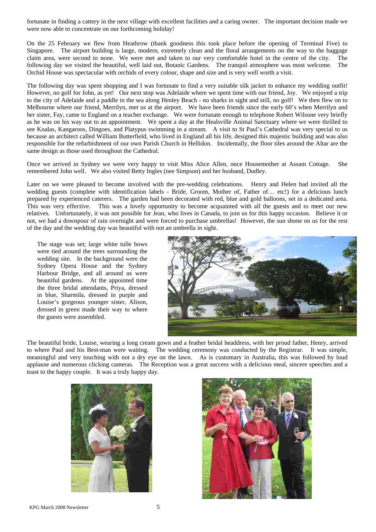fortunate in finding a cattery in the next village with excellent facilities and a caring owner. The important decision made we were now able to concentrate on our forthcoming holiday!

On the 25 February we flew from Heathrow (thank goodness this took place before the opening of Terminal Five) to Singapore. The airport building is large, modern, extremely clean and the floral arrangements on the way to the baggage claim area, were second to none. We were met and taken to our very comfortable hotel in the centre of the city. The following day we visited the beautiful, well laid out, Botanic Gardens. The tranquil atmosphere was most welcome. The Orchid House was spectacular with orchids of every colour, shape and size and is very well worth a visit.

The following day was spent shopping and I was fortunate to find a very suitable silk jacket to enhance my wedding outfit! However, no golf for John, as yet! Our next stop was Adelaide where we spent time with our friend, Joy. We enjoyed a trip to the city of Adelaide and a paddle in the sea along Henley Beach - no sharks in sight and still, no golf! We then flew on to Melbourne where our friend, Merrilyn, met us at the airport. We have been friends since the early 60's when Merrilyn and her sister, Fay, came to England on a teacher exchange. We were fortunate enough to telephone Robert Wilsone very briefly as he was on his way out to an appointment. We spent a day at the Healsville Animal Sanctuary where we were thrilled to see Koalas, Kangaroos, Dingoes, and Platypus swimming in a stream. A visit to St Paul's Cathedral was very special to us because an architect called William Butterfield, who lived in England all his life, designed this majestic building and was also responsible for the refurbishment of our own Parish Church in Hellidon. Incidentally, the floor tiles around the Altar are the same design as those used throughout the Cathedral.

Once we arrived in Sydney we were very happy to visit Miss Alice Allen, once Housemother at Assam Cottage. She remembered John well. We also visited Betty Ingles (nee Simpson) and her husband, Dudley.

Later on we were pleased to become involved with the pre-wedding celebrations. Henry and Helen had invited all the wedding guests (complete with identification labels - Bride, Groom, Mother of, Father of… etc!) for a delicious lunch prepared by experienced caterers. The garden had been decorated with red, blue and gold balloons, set in a dedicated area. This was very effective. This was a lovely opportunity to become acquainted with all the guests and to meet our new relatives. Unfortunately, it was not possible for Jean, who lives in Canada, to join us for this happy occasion. Believe it or not, we had a downpour of rain overnight and were forced to purchase umbrellas! However, the sun shone on us for the rest of the day and the wedding day was beautiful with not an umbrella in sight.

The stage was set; large white tulle bows were tied around the trees surrounding the wedding site. In the background were the Sydney Opera House and the Sydney Harbour Bridge, and all around us were beautiful gardens. At the appointed time the three bridal attendants, Priya, dressed in blue, Sharmila, dressed in purple and Louise's gorgeous younger sister, Alison, dressed in green made their way to where the guests were assembled.



The beautiful bride, Louise, wearing a long cream gown and a feather bridal headdress, with her proud father, Henry, arrived to where Paul and his Best-man were waiting. The wedding ceremony was conducted by the Registrar. It was simple, meaningful and very touching with not a dry eye on the lawn. As is customary in Australia, this was followed by loud applause and numerous clicking cameras. The Reception was a great success with a delicious meal, sincere speeches and a toast to the happy couple. It was a truly happy day.



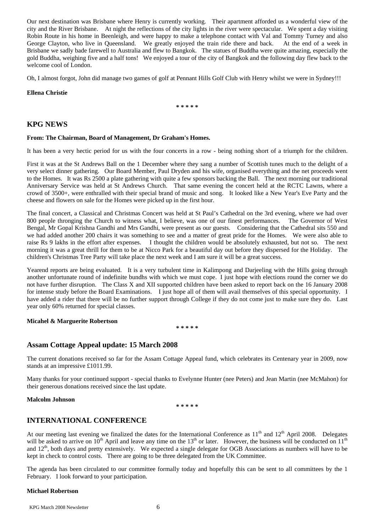Our next destination was Brisbane where Henry is currently working. Their apartment afforded us a wonderful view of the city and the River Brisbane. At night the reflections of the city lights in the river were spectacular. We spent a day visiting Robin Route in his home in Beenleigh, and were happy to make a telephone contact with Val and Tommy Turney and also George Clayton, who live in Queensland. We greatly enjoyed the train ride there and back. At the end of a week in Brisbane we sadly bade farewell to Australia and flew to Bangkok. The statues of Buddha were quite amazing, especially the gold Buddha, weighing five and a half tons! We enjoyed a tour of the city of Bangkok and the following day flew back to the welcome cool of London.

Oh, I almost forgot, John did manage two games of golf at Pennant Hills Golf Club with Henry whilst we were in Sydney!!!

#### **Ellena Christie**

**\* \* \* \* \*** 

## **KPG NEWS**

#### **From: The Chairman, Board of Management, Dr Graham's Homes.**

It has been a very hectic period for us with the four concerts in a row - being nothing short of a triumph for the children.

First it was at the St Andrews Ball on the 1 December where they sang a number of Scottish tunes much to the delight of a very select dinner gathering. Our Board Member, Paul Dryden and his wife, organised everything and the net proceeds went to the Homes. It was Rs 2500 a plate gathering with quite a few sponsors backing the Ball. The next morning our traditional Anniversary Service was held at St Andrews Church. That same evening the concert held at the RCTC Lawns, where a crowd of 3500+, were enthralled with their special brand of music and song. It looked like a New Year's Eve Party and the cheese and flowers on sale for the Homes were picked up in the first hour.

The final concert, a Classical and Christmas Concert was held at St Paul's Cathedral on the 3rd evening, where we had over 800 people thronging the Church to witness what, I believe, was one of our finest performances. The Governor of West Bengal, Mr Gopal Krishna Gandhi and Mrs Gandhi, were present as our guests. Considering that the Cathedral sits 550 and we had added another 200 chairs it was something to see and a matter of great pride for the Homes. We were also able to raise Rs 9 lakhs in the effort after expenses. I thought the children would be absolutely exhausted, but not so. The next morning it was a great thrill for them to be at Nicco Park for a beautiful day out before they dispersed for the Holiday. The children's Christmas Tree Party will take place the next week and I am sure it will be a great success.

Yearend reports are being evaluated. It is a very turbulent time in Kalimpong and Darjeeling with the Hills going through another unfortunate round of indefinite bundhs with which we must cope. I just hope with elections round the corner we do not have further disruption. The Class X and XII supported children have been asked to report back on the 16 January 2008 for intense study before the Board Examinations. I just hope all of them will avail themselves of this special opportunity. I have added a rider that there will be no further support through College if they do not come just to make sure they do. Last year only 60% returned for special classes.

#### **Micahel & Marguerite Robertson**

**\* \* \* \* \*** 

## **Assam Cottage Appeal update: 15 March 2008**

The current donations received so far for the Assam Cottage Appeal fund, which celebrates its Centenary year in 2009, now stands at an impressive £1011.99.

Many thanks for your continued support - special thanks to Evelynne Hunter (nee Peters) and Jean Martin (nee McMahon) for their generous donations received since the last update.

#### **Malcolm Johnson**

**\* \* \* \* \*** 

## **INTERNATIONAL CONFERENCE**

At our meeting last evening we finalized the dates for the International Conference as 11<sup>th</sup> and 12<sup>th</sup> April 2008. Delegates will be asked to arrive on  $10^{th}$  April and leave any time on the  $13^{th}$  or later. However, the business will be conducted on  $11^{th}$ and  $12<sup>th</sup>$ , both days and pretty extensively. We expected a single delegate for OGB Associations as numbers will have to be kept in check to control costs. There are going to be three delegated from the UK Committee.

The agenda has been circulated to our committee formally today and hopefully this can be sent to all committees by the 1 February. I look forward to your participation.

#### **Michael Robertson**

KPG March 2008 Newsletter 6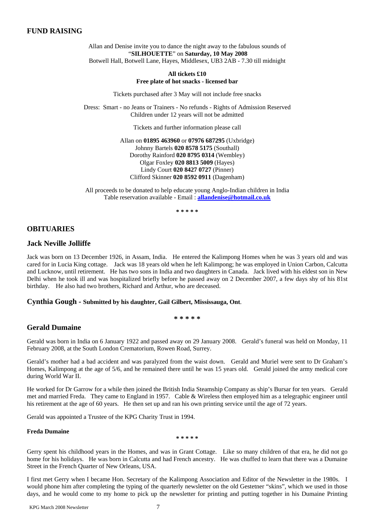## **FUND RAISING**

Allan and Denise invite you to dance the night away to the fabulous sounds of "**SILHOUETTE**" on **Saturday, 10 May 2008** Botwell Hall, Botwell Lane, Hayes, Middlesex, UB3 2AB - 7.30 till midnight

#### **All tickets £10 Free plate of hot snacks - licensed bar**

Tickets purchased after 3 May will not include free snacks

Dress: Smart - no Jeans or Trainers - No refunds - Rights of Admission Reserved Children under 12 years will not be admitted

Tickets and further information please call

Allan on **01895 463960** or **07976 687295** (Uxbridge) Johnny Bartels **020 8578 5175** (Southall) Dorothy Rainford **020 8795 0314** (Wembley) Olgar Foxley **020 8813 5009** (Hayes) Lindy Court **020 8427 0727** (Pinner) Clifford Skinner **020 8592 0911** (Dagenham)

All proceeds to be donated to help educate young Anglo-Indian children in India Table reservation available - Email : **[allandenise@hotmail.co.uk](mailto:allandenise@hotmail.co.uk)**

**\* \* \* \* \*** 

## **OBITUARIES**

## **Jack Neville Jolliffe**

Jack was born on 13 December 1926, in Assam, India. He entered the Kalimpong Homes when he was 3 years old and was cared for in Lucia King cottage. Jack was 18 years old when he left Kalimpong; he was employed in Union Carbon, Calcutta and Lucknow, until retirement. He has two sons in India and two daughters in Canada. Jack lived with his eldest son in New Delhi when he took ill and was hospitalized briefly before he passed away on 2 December 2007, a few days shy of his 81st birthday. He also had two brothers, Richard and Arthur, who are deceased.

#### **Cynthia Gough - Submitted by his daughter, Gail Gilbert, Mississauga, Ont**.

**\* \* \* \* \*** 

## **Gerald Dumaine**

Gerald was born in India on 6 January 1922 and passed away on 29 January 2008. Gerald's funeral was held on Monday, 11 February 2008, at the South London Crematorium, Rowen Road, Surrey.

Gerald's mother had a bad accident and was paralyzed from the waist down. Gerald and Muriel were sent to Dr Graham's Homes, Kalimpong at the age of 5/6, and he remained there until he was 15 years old. Gerald joined the army medical core during World War II.

He worked for Dr Garrow for a while then joined the British India Steamship Company as ship's Bursar for ten years. Gerald met and married Freda. They came to England in 1957. Cable & Wireless then employed him as a telegraphic engineer until his retirement at the age of 60 years. He then set up and ran his own printing service until the age of 72 years.

Gerald was appointed a Trustee of the KPG Charity Trust in 1994.

## **Freda Dumaine**

**\* \* \* \* \*** 

Gerry spent his childhood years in the Homes, and was in Grant Cottage. Like so many children of that era, he did not go home for his holidays. He was born in Calcutta and had French ancestry. He was chuffed to learn that there was a Dumaine Street in the French Quarter of New Orleans, USA.

I first met Gerry when I became Hon. Secretary of the Kalimpong Association and Editor of the Newsletter in the 1980s. I would phone him after completing the typing of the quarterly newsletter on the old Gestetner "skins", which we used in those days, and he would come to my home to pick up the newsletter for printing and putting together in his Dumaine Printing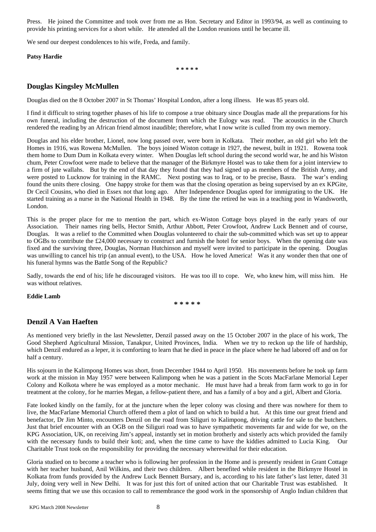Press. He joined the Committee and took over from me as Hon. Secretary and Editor in 1993/94, as well as continuing to provide his printing services for a short while. He attended all the London reunions until he became ill.

We send our deepest condolences to his wife, Freda, and family.

#### **Patsy Hardie**

**\* \* \* \* \*** 

## **Douglas Kingsley McMullen**

Douglas died on the 8 October 2007 in St Thomas' Hospital London, after a long illness. He was 85 years old.

I find it difficult to string together phases of his life to compose a true obituary since Douglas made all the preparations for his own funeral, including the destruction of the document from which the Eulogy was read. The acoustics in the Church rendered the reading by an African friend almost inaudible; therefore, what I now write is culled from my own memory.

Douglas and his elder brother, Lionel, now long passed over, were born in Kolkata. Their mother, an old girl who left the Homes in 1916, was Rowena McMullen. The boys joined Wiston cottage in 1927, the newest, built in 1921. Rowena took them home to Dum Dum in Kolkata every winter. When Douglas left school during the second world war, he and his Wiston chum, Peter Crowfoot were made to believe that the manager of the Birkmyre Hostel was to take them for a joint interview to a firm of jute wallahs. But by the end of that day they found that they had signed up as members of the British Army, and were posted to Lucknow for training in the RAMC. Next posting was to Iraq, or to be precise, Basra. The war's ending found the units there closing. One happy stroke for them was that the closing operation as being supervised by an ex KPGite, Dr Cecil Cousins, who died in Essex not that long ago. After Independence Douglas opted for immigrating to the UK. He started training as a nurse in the National Health in 1948. By the time the retired he was in a teaching post in Wandsworth, London.

This is the proper place for me to mention the part, which ex-Wiston Cottage boys played in the early years of our Association. Their names ring bells, Hector Smith, Arthur Abbott, Peter Crowfoot, Andrew Luck Bennett and of course, Douglas. It was a relief to the Committed when Douglas volunteered to chair the sub-committed which was set up to appear to OGBs to contribute the £24,000 necessary to construct and furnish the hotel for senior boys. When the opening date was fixed and the surviving three, Douglas, Norman Hutchinson and myself were invited to participate in the opening. Douglas was unwilling to cancel his trip (an annual event), to the USA. How he loved America! Was it any wonder then that one of his funeral hymns was the Battle Song of the Republic?

Sadly, towards the end of his; life he discouraged visitors. He was too ill to cope. We, who knew him, will miss him. He was without relatives.

#### **Eddie Lamb**

**\* \* \* \* \*** 

## **Denzil A Van Haeften**

As mentioned very briefly in the last Newsletter, Denzil passed away on the 15 October 2007 in the place of his work, The Good Shepherd Agricultural Mission, Tanakpur, United Provinces, India. When we try to reckon up the life of hardship, which Denzil endured as a leper, it is comforting to learn that he died in peace in the place where he had labored off and on for half a century.

His sojourn in the Kalimpong Homes was short, from December 1944 to April 1950. His movements before he took up farm work at the mission in May 1957 were between Kalimpong when he was a patient in the Scots MacFarlane Memorial Leper Colony and Kolkota where he was employed as a motor mechanic. He must have had a break from farm work to go in for treatment at the colony, for he marries Megan, a fellow-patient there, and has a family of a boy and a girl, Albert and Gloria.

Fate looked kindly on the family, for at the juncture when the leper colony was closing and there was nowhere for them to live, the MacFarlane Memorial Church offered them a plot of land on which to build a hut. At this time our great friend and benefactor, Dr Jim Minto, encounters Denzil on the road from Siliguri to Kalimpong, driving cattle for sale to the butchers. Just that brief encounter with an OGB on the Siliguri road was to have sympathetic movements far and wide for we, on the KPG Association, UK, on receiving Jim's appeal, instantly set in motion brotherly and sisterly acts which provided the family with the necessary funds to build their koti; and, when the time came to have the kiddies admitted to Lucia King. Our Charitable Trust took on the responsibility for providing the necessary wherewithal for their education.

Gloria studied on to become a teacher who is following her profession in the Home and is presently resident in Grant Cottage with her teacher husband, Anil Wilkins, and their two children. Albert benefited while resident in the Birkmyre Hostel in Kolkata from funds provided by the Andrew Luck Bennett Bursary, and is, according to his late father's last letter, dated 31 July, doing very well in New Delhi. It was for just this fort of united action that our Charitable Trust was established. It seems fitting that we use this occasion to call to remembrance the good work in the sponsorship of Anglo Indian children that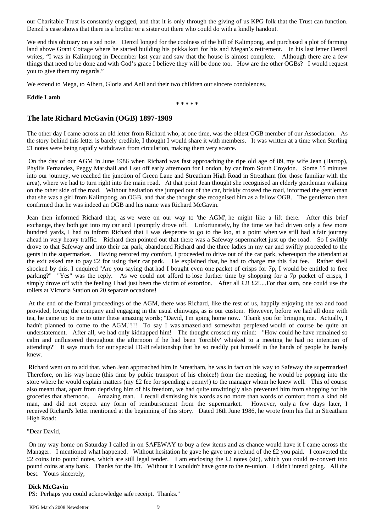our Charitable Trust is constantly engaged, and that it is only through the giving of us KPG folk that the Trust can function. Denzil's case shows that there is a brother or a sister out there who could do with a kindly handout.

We end this obituary on a sad note. Denzil longed for the coolness of the hill of Kalimpong, and purchased a plot of farming land above Grant Cottage where he started building his pukka koti for his and Megan's retirement. In his last letter Denzil writes, "I was in Kalimpong in December last year and saw that the house is almost complete. Although there are a few things that need to be done and with God's grace I believe they will be done too. How are the other OGBs? I would request you to give them my regards."

We extend to Mega, to Albert, Gloria and Anil and their two children our sincere condolences.

#### **Eddie Lamb**

**\* \* \* \* \*** 

## **The late Richard McGavin (OGB) 1897-1989**

The other day I came across an old letter from Richard who, at one time, was the oldest OGB member of our Association. As the story behind this letter is barely credible, I thought I would share it with members. It was written at a time when Sterling £1 notes were being rapidly withdrawn from circulation, making them very scarce.

On the day of our AGM in June 1986 when Richard was fast approaching the ripe old age of 89, my wife Jean (Harrop), Phyllis Fernandez, Peggy Marshall and I set off early afternoon for London, by car from South Croydon. Some 15 minutes into our journey, we reached the junction of Green Lane and Streatham High Road in Streatham (for those familiar with the area), where we had to turn right into the main road. At that point Jean thought she recognised an elderly gentleman walking on the other side of the road. Without hesitation she jumped out of the car, briskly crossed the road, informed the gentleman that she was a girl from Kalimpong, an OGB, and that she thought she recognised him as a fellow OGB. The gentleman then confirmed that he was indeed an OGB and his name was Richard McGavin.

Jean then informed Richard that, as we were on our way to 'the AGM', he might like a lift there. After this brief exchange, they both got into my car and I promptly drove off. Unfortunately, by the time we had driven only a few more hundred yards, I had to inform Richard that I was desperate to go to the loo, at a point when we still had a fair journey ahead in very heavy traffic. Richard then pointed out that there was a Safeway supermarket just up the road. So I swiftly drove to that Safeway and into their car park, abandoned Richard and the three ladies in my car and swiftly proceeded to the gents in the supermarket. Having restored my comfort, I proceeded to drive out of the car park, whereupon the attendant at the exit asked me to pay  $\pounds 2$  for using their car park. He explained that, he had to charge me this flat fee. Rather shell shocked by this, I enquired "Are you saying that had I bought even one packet of crisps for 7p, I would be entitled to free parking?" "Yes" was the reply. As we could not afford to lose further time by shopping for a 7p packet of crisps, I simply drove off with the feeling I had just been the victim of extortion. After all £2! £2!....For that sum, one could use the toilets at Victoria Station on 20 separate occasions!

At the end of the formal proceedings of the AGM, there was Richard, like the rest of us, happily enjoying the tea and food provided, loving the company and engaging in the usual chinwags, as is our custom. However, before we had all done with tea, he came up to me to utter these amazing words; "David, I'm going home now. Thank you for bringing me. Actually, I hadn't planned to come to the AGM."!!! To say I was amazed and somewhat perplexed would of course be quite an understatement. After all, we had only kidnapped him! The thought crossed my mind: "How could he have remained so calm and unflustered throughout the afternoon if he had been 'forcibly' whisked to a meeting he had no intention of attending?" It says much for our special DGH relationship that he so readily put himself in the hands of people he barely knew.

Richard went on to add that, when Jean approached him in Streatham, he was in fact on his way to Safeway the supermarket! Therefore, on his way home (this time by public transport of his choice!) from the meeting, he would be popping into the store where he would explain matters (my £2 fee for spending a penny!) to the manager whom he knew well. This of course also meant that, apart from depriving him of his freedom, we had quite unwittingly also prevented him from shopping for his groceries that afternoon. Amazing man. I recall dismissing his words as no more than words of comfort from a kind old man, and did not expect any form of reimbursement from the supermarket. However, only a few days later, I received Richard's letter mentioned at the beginning of this story. Dated 16th June 1986, he wrote from his flat in Streatham High Road:

#### "Dear David,

On my way home on Saturday I called in on SAFEWAY to buy a few items and as chance would have it I came across the Manager. I mentioned what happened. Without hesitation he gave he gave me a refund of the  $\pounds 2$  you paid. I converted the  $£2$  coins into pound notes, which are still legal tender. I am enclosing the £2 notes (sic), which you could re-convert into pound coins at any bank. Thanks for the lift. Without it I wouldn't have gone to the re-union. I didn't intend going. All the best. Yours sincerely,

#### **Dick McGavin**

PS: Perhaps you could acknowledge safe receipt. Thanks."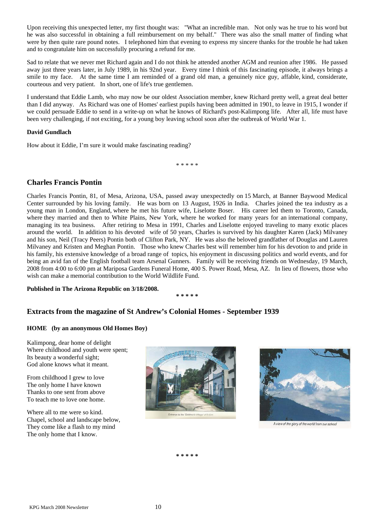Upon receiving this unexpected letter, my first thought was: "What an incredible man. Not only was he true to his word but he was also successful in obtaining a full reimbursement on my behalf." There was also the small matter of finding what were by then quite rare pound notes. I telephoned him that evening to express my sincere thanks for the trouble he had taken and to congratulate him on successfully procuring a refund for me.

Sad to relate that we never met Richard again and I do not think he attended another AGM and reunion after 1986. He passed away just three years later, in July 1989, in his 92nd year. Every time I think of this fascinating episode, it always brings a smile to my face. At the same time I am reminded of a grand old man, a genuinely nice guy, affable, kind, considerate, courteous and very patient. In short, one of life's true gentlemen.

I understand that Eddie Lamb, who may now be our oldest Association member, knew Richard pretty well, a great deal better than I did anyway. As Richard was one of Homes' earliest pupils having been admitted in 1901, to leave in 1915, I wonder if we could persuade Eddie to send in a write-up on what he knows of Richard's post-Kalimpong life. After all, life must have been very challenging, if not exciting, for a young boy leaving school soon after the outbreak of World War 1.

## **David Gundlach**

How about it Eddie, I'm sure it would make fascinating reading?

\* \* \* \* \*

## **Charles Francis Pontin**

Charles Francis Pontin, 81, of Mesa, Arizona, USA, passed away unexpectedly on 15 March, at Banner Baywood Medical Center surrounded by his loving family. He was born on 13 August, 1926 in India. Charles joined the tea industry as a young man in London, England, where he met his future wife, Liselotte Boser. His career led them to Toronto, Canada, where they married and then to White Plains, New York, where he worked for many years for an international company, managing its tea business. After retiring to Mesa in 1991, Charles and Liselotte enjoyed traveling to many exotic places around the world. In addition to his devoted wife of 50 years, Charles is survived by his daughter Karen (Jack) Milvaney and his son, Neil (Tracy Peers) Pontin both of Clifton Park, NY. He was also the beloved grandfather of Douglas and Lauren Milvaney and Kristen and Meghan Pontin. Those who knew Charles best will remember him for his devotion to and pride in his family, his extensive knowledge of a broad range of topics, his enjoyment in discussing politics and world events, and for being an avid fan of the English football team Arsenal Gunners. Family will be receiving friends on Wednesday, 19 March, 2008 from 4:00 to 6:00 pm at Mariposa Gardens Funeral Home, 400 S. Power Road, Mesa, AZ. In lieu of flowers, those who wish can make a memorial contribution to the World Wildlife Fund.

**Published in The Arizona Republic on 3/18/2008.** 

**\* \* \* \* \*** 

## **Extracts from the magazine of St Andrew's Colonial Homes - September 1939**

## **HOME (by an anonymous Old Homes Boy)**

Kalimpong, dear home of delight Where childhood and youth were spent; Its beauty a wonderful sight; God alone knows what it meant.

From childhood I grew to love The only home I have known Thanks to one sent from above To teach me to love one home.

Where all to me were so kind. Chapel, school and landscape below, They come like a flash to my mind The only home that I know.





A view of the glory of the world from our schoo